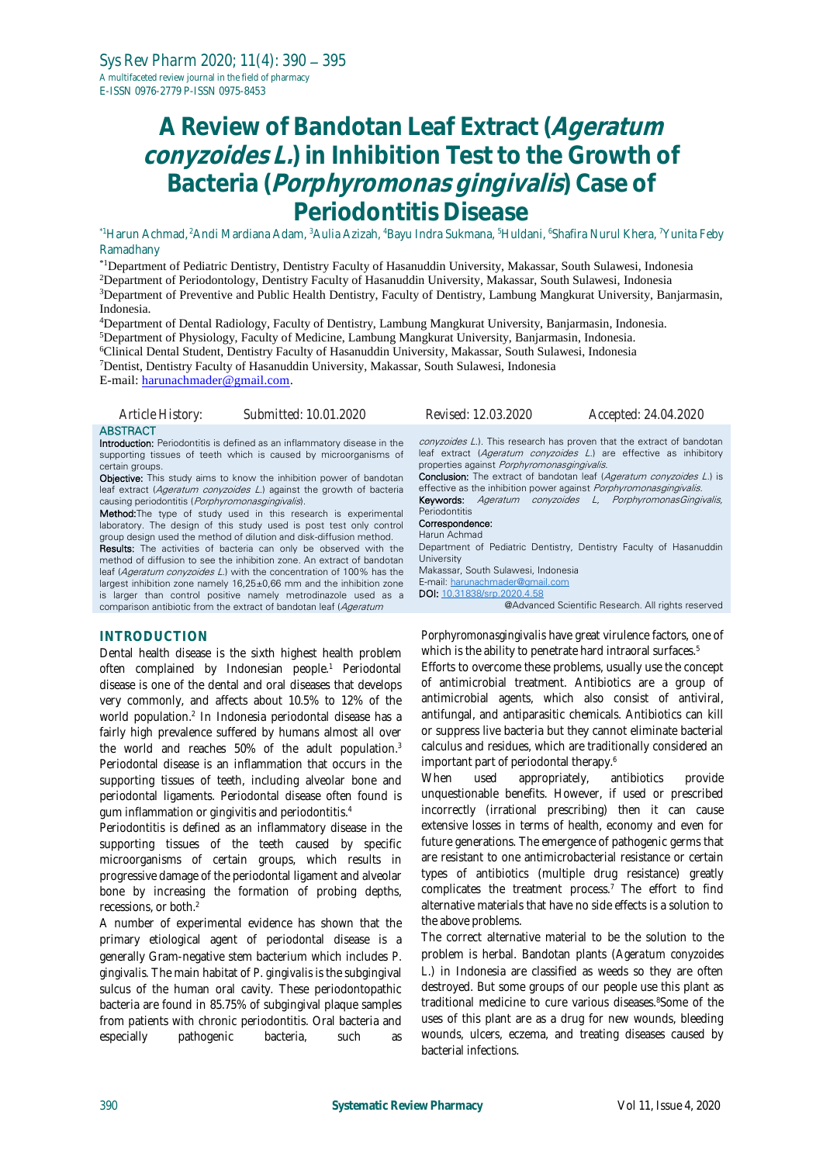# **A Review of Bandotan Leaf Extract (Ageratum conyzoides L.) in Inhibition Test to the Growth of Bacteria (Porphyromonas gingivalis) Case of Periodontitis Disease**

\*1Harun Achmad, <sup>2</sup>Andi Mardiana Adam, <sup>3</sup>Aulia Azizah, <sup>4</sup>Bayu Indra Sukmana, <sup>5</sup>Huldani, <sup>6</sup>Shafira Nurul Khera, <sup>7</sup>Yunita Feby Ramadhany

\*1Department of Pediatric Dentistry, Dentistry Faculty of Hasanuddin University, Makassar, South Sulawesi, Indonesia <sup>2</sup>Department of Periodontology, Dentistry Faculty of Hasanuddin University, Makassar, South Sulawesi, Indonesia <sup>3</sup>Department of Preventive and Public Health Dentistry, Faculty of Dentistry, Lambung Mangkurat University, Banjarmasin, Indonesia.

Department of Dental Radiology, Faculty of Dentistry, Lambung Mangkurat University, Banjarmasin, Indonesia. Department of Physiology, Faculty of Medicine, Lambung Mangkurat University, Banjarmasin, Indonesia. Clinical Dental Student, Dentistry Faculty of Hasanuddin University, Makassar, South Sulawesi, Indonesia Dentist, Dentistry Faculty of Hasanuddin University, Makassar, South Sulawesi, Indonesia E-mail[: harunachmader@gmail.com.](mailto:harunachmader@gmail.com)

*Article History: Submitted: 10.01.2020 Revised: 12.03.2020 Accepted: 24.04.2020*

#### **ABSTRACT**

Introduction: Periodontitis is defined as an inflammatory disease in the supporting tissues of teeth which is caused by microorganisms of certain groups.

**Objective:** This study aims to know the inhibition power of bandotan leaf extract (Ageratum conyzoides L.) against the growth of bacteria causing periodontitis (Porphyromonasgingivalis).

**Method:**The type of study used in this research is experimental laboratory. The design of this study used is post test only control group design used the method of dilution and disk-diffusion method.

**Results:** The activities of bacteria can only be observed with the method of diffusion to see the inhibition zone. An extract of bandotan leaf (Ageratum convzoides L.) with the concentration of 100% has the largest inhibition zone namely 16,25±0,66 mm and the inhibition zone is larger than control positive namely metrodinazole used as a comparison antibiotic from the extract of bandotan leaf (Ageratum

### **INTRODUCTION**

Dental health disease is the sixth highest health problem often complained by Indonesian people.<sup>1</sup> Periodontal disease is one of the dental and oral diseases that develops very commonly, and affects about 10.5% to 12% of the world population.<sup>2</sup> In Indonesia periodontal disease has a fairly high prevalence suffered by humans almost all over the world and reaches 50% of the adult population.<sup>3</sup> Periodontal disease is an inflammation that occurs in the supporting tissues of teeth, including alveolar bone and periodontal ligaments. Periodontal disease often found is gum inflammation or gingivitis and periodontitis.<sup>4</sup>

Periodontitis is defined as an inflammatory disease in the supporting tissues of the teeth caused by specific microorganisms of certain groups, which results in progressive damage of the periodontal ligament and alveolar bone by increasing the formation of probing depths, recessions, or both.<sup>2</sup>

A number of experimental evidence has shown that the primary etiological agent of periodontal disease is a generally Gram-negative stem bacterium which includes *P. gingivalis.* The main habitat of *P. gingivalis* is the subgingival sulcus of the human oral cavity. These periodontopathic bacteria are found in 85.75% of subgingival plaque samples from patients with chronic periodontitis. Oral bacteria and especially pathogenic bacteria, such as

conyzoides L.). This research has proven that the extract of bandotan leaf extract (Ageratum conyzoides L.) are effective as inhibitory properties against Porphyromonasgingivalis.

Conclusion: The extract of bandotan leaf (Ageratum conyzoides L.) is effective as the inhibition power against Porphyromonasgingivalis. Keywords: Ageratum conyzoides L, PorphyromonasGingivalis,

#### Periodontitis Correspondence:

Harun Achmad

Department of Pediatric Dentistry, Dentistry Faculty of Hasanuddin University Makassar, South Sulawesi, Indonesia E-mail: [harunachmader@gmail.com](mailto:harunachmader@gmail.com) DOI: [10.31838/srp.2020.4.58](http://dx.doi.org/10.5530/srp.2019.2.04)

@Advanced Scientific Research. All rights reserved

*Porphyromonasgingivalis* have great virulence factors, one of which is the ability to penetrate hard intraoral surfaces.<sup>5</sup>

Efforts to overcome these problems, usually use the concept of antimicrobial treatment. Antibiotics are a group of antimicrobial agents, which also consist of antiviral, antifungal, and antiparasitic chemicals. Antibiotics can kill or suppress live bacteria but they cannot eliminate bacterial calculus and residues, which are traditionally considered an important part of periodontal therapy.<sup>6</sup>

When used appropriately, antibiotics provide unquestionable benefits. However, if used or prescribed incorrectly (irrational prescribing) then it can cause extensive losses in terms of health, economy and even for future generations. The emergence of pathogenic germs that are resistant to one antimicrobacterial resistance or certain types of antibiotics (multiple drug resistance) greatly complicates the treatment process.<sup> $7$ </sup> The effort to find alternative materials that have no side effects is a solution to the above problems.

The correct alternative material to be the solution to the problem is herbal. Bandotan plants (*Ageratum conyzoides L*.) in Indonesia are classified as weeds so they are often destroyed. But some groups of our people use this plant as traditional medicine to cure various diseases.8Some of the uses of this plant are as a drug for new wounds, bleeding wounds, ulcers, eczema, and treating diseases caused by bacterial infections.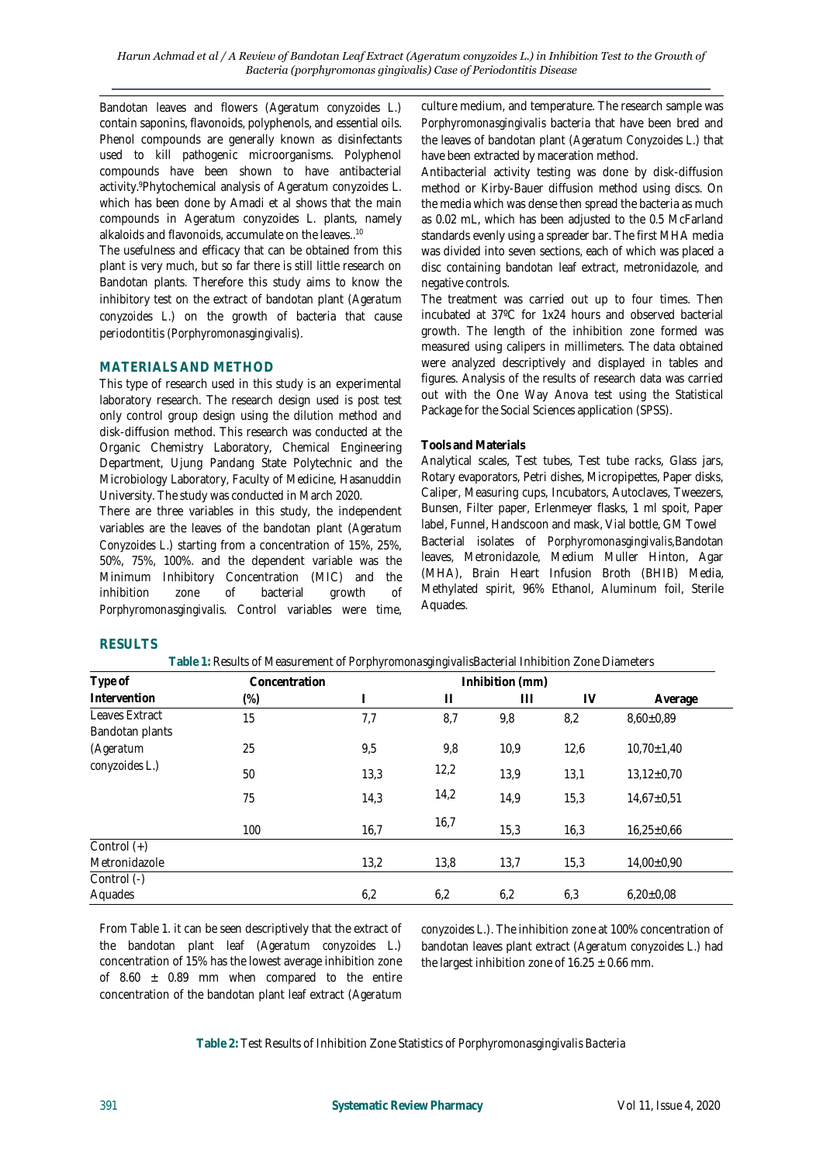Bandotan leaves and flowers (*Ageratum conyzoides L*.) contain saponins, flavonoids, polyphenols, and essential oils. Phenol compounds are generally known as disinfectants used to kill pathogenic microorganisms. Polyphenol compounds have been shown to have antibacterial activity.<sup>9</sup>Phytochemical analysis of Ageratum conyzoides L. which has been done by Amadi et al shows that the main compounds in Ageratum conyzoides L. plants, namely alkaloids and flavonoids, accumulate on the leaves..<sup>10</sup>

The usefulness and efficacy that can be obtained from this plant is very much, but so far there is still little research on Bandotan plants. Therefore this study aims to know the inhibitory test on the extract of bandotan plant (*Ageratum conyzoides L*.) on the growth of bacteria that cause periodontitis (*Porphyromonasgingivalis*).

## **MATERIALS AND METHOD**

This type of research used in this study is an experimental laboratory research. The research design used is post test only control group design using the dilution method and disk-diffusion method. This research was conducted at the Organic Chemistry Laboratory, Chemical Engineering Department, Ujung Pandang State Polytechnic and the Microbiology Laboratory, Faculty of Medicine, Hasanuddin University. The study was conducted in March 2020.

There are three variables in this study, the independent variables are the leaves of the bandotan plant (*Ageratum Conyzoides L*.) starting from a concentration of 15%, 25%, 50%, 75%, 100%. and the dependent variable was the Minimum Inhibitory Concentration (MIC) and the inhibition zone of bacterial growth of *Porphyromonasgingivalis.* Control variables were time,

culture medium, and temperature. The research sample was *Porphyromonasgingivalis* bacteria that have been bred and the leaves of bandotan plant (*Ageratum Conyzoides L*.) that have been extracted by maceration method.

Antibacterial activity testing was done by disk-diffusion method or Kirby-Bauer diffusion method using discs. On the media which was dense then spread the bacteria as much as 0.02 mL, which has been adjusted to the 0.5 McFarland standards evenly using a spreader bar. The first MHA media was divided into seven sections, each of which was placed a disc containing bandotan leaf extract, metronidazole, and negative controls.

The treatment was carried out up to four times. Then incubated at 37ºC for 1x24 hours and observed bacterial growth. The length of the inhibition zone formed was measured using calipers in millimeters. The data obtained were analyzed descriptively and displayed in tables and figures. Analysis of the results of research data was carried out with the One Way Anova test using the Statistical Package for the Social Sciences application (SPSS).

## **Tools and Materials**

Analytical scales, Test tubes, Test tube racks, Glass jars, Rotary evaporators, Petri dishes, Micropipettes, Paper disks, Caliper, Measuring cups, Incubators, Autoclaves, Tweezers, Bunsen, Filter paper, Erlenmeyer flasks, 1 ml spoit, Paper label, Funnel, Handscoon and mask, Vial bottle, GM Towel Bacterial isolates of *Porphyromonasgingivalis,*Bandotan leaves, Metronidazole, Medium Muller Hinton, Agar (MHA), Brain Heart Infusion Broth (BHIB) Media, Methylated spirit, 96% Ethanol, Aluminum foil, Sterile Aquades.

# **RESULTS**

| Type of                           | Concentration |      |               | Inhibition (mm) |      |                  |
|-----------------------------------|---------------|------|---------------|-----------------|------|------------------|
| Intervention                      | $(\%)$        |      | $\mathbf{  }$ | $\mathbf{1}$    | IV   | Average          |
| Leaves Extract<br>Bandotan plants | 15            | 7,7  | 8,7           | 9,8             | 8,2  | $8,60\pm0,89$    |
| (Ageratum                         | 25            | 9,5  | 9,8           | 10,9            | 12,6 | $10,70\pm1,40$   |
| conyzoides L.)                    | 50            | 13,3 | 12,2          | 13,9            | 13,1 | $13,12\pm0,70$   |
|                                   | 75            | 14,3 | 14,2          | 14,9            | 15,3 | $14,67 \pm 0,51$ |
|                                   | 100           | 16,7 | 16,7          | 15,3            | 16,3 | $16,25\pm0,66$   |
| Control (+)                       |               |      |               |                 |      |                  |
| Metronidazole                     |               | 13,2 | 13,8          | 13,7            | 15,3 | $14,00\pm0,90$   |
| Control (-)<br>Aquades            |               | 6,2  | 6,2           | 6,2             | 6,3  | $6,20\pm0.08$    |

**Table 1:** Results of Measurement of *Porphyromonasgingivalis*Bacterial Inhibition Zone Diameters

From Table 1. it can be seen descriptively that the extract of the bandotan plant leaf (*Ageratum conyzoides L*.) concentration of 15% has the lowest average inhibition zone of 8.60  $\pm$  0.89 mm when compared to the entire concentration of the bandotan plant leaf extract (*Ageratum* 

*conyzoides L.*). The inhibition zone at 100% concentration of bandotan leaves plant extract (*Ageratum conyzoides L*.) had the largest inhibition zone of  $16.25 \pm 0.66$  mm.

**Table 2:** Test Results of Inhibition Zone Statistics of *Porphyromonasgingivalis Bacteria*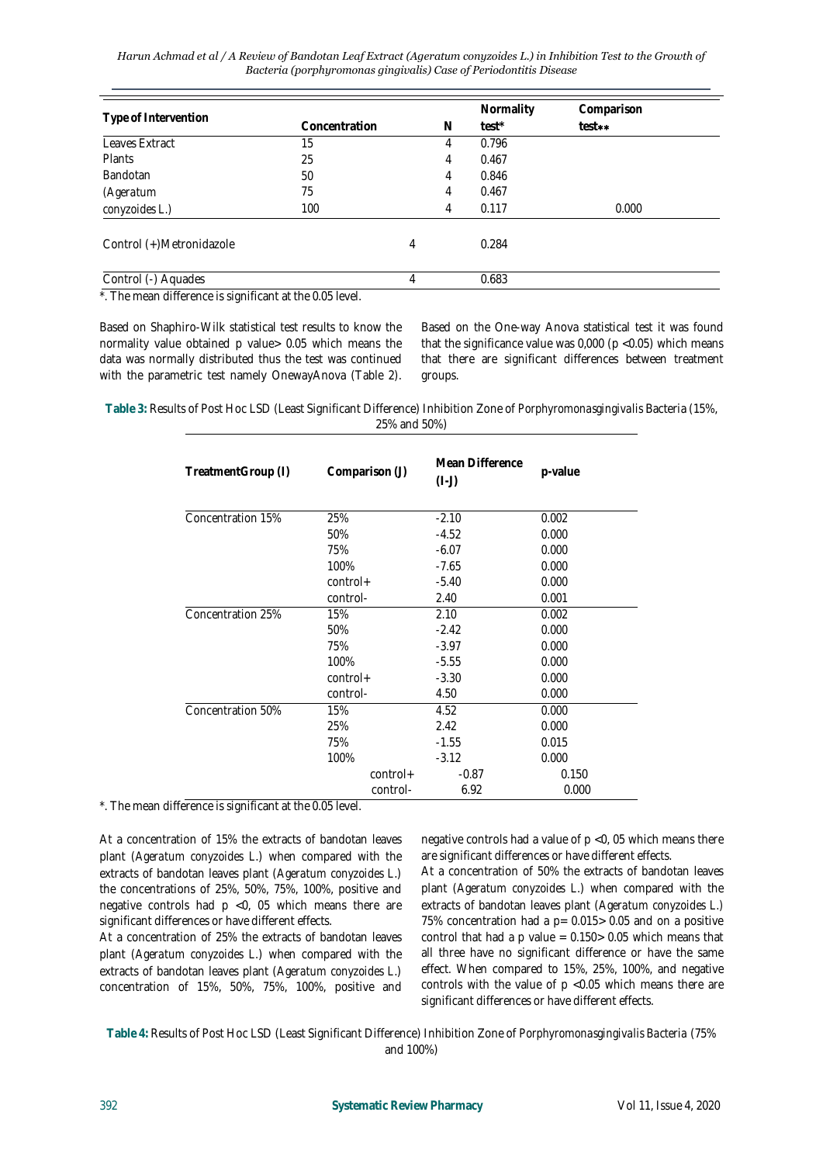| Harun Achmad et al / A Review of Bandotan Leaf Extract (Ageratum conyzoides L.) in Inhibition Test to the Growth of |  |
|---------------------------------------------------------------------------------------------------------------------|--|
| Bacteria (porphyromonas gingivalis) Case of Periodontitis Disease                                                   |  |

|                          |               |   |   | Normality | Comparison |
|--------------------------|---------------|---|---|-----------|------------|
| Type of Intervention     | Concentration |   | N | test*     | test**     |
| Leaves Extract           | 15            |   | 4 | 0.796     |            |
| Plants                   | 25            |   | 4 | 0.467     |            |
| <b>Bandotan</b>          | 50            |   | 4 | 0.846     |            |
| (Ageratum                | 75            |   | 4 | 0.467     |            |
| conyzoides L.)           | 100           |   | 4 | 0.117     | 0.000      |
| Control (+)Metronidazole |               | 4 |   | 0.284     |            |
| Control (-) Aquades      |               |   |   | 0.683     |            |

\*. The mean difference is significant at the 0.05 level.

Based on Shaphiro-Wilk statistical test results to know the normality value obtained p value> 0.05 which means the data was normally distributed thus the test was continued with the parametric test namely OnewayAnova (Table 2).

Based on the One-way Anova statistical test it was found that the significance value was  $0,000$  (p <0.05) which means that there are significant differences between treatment groups.

**Table 3:** Results of Post Hoc LSD (Least Significant Difference) Inhibition Zone of *Porphyromonasgingivalis* Bacteria (15%, 25% and 50%)

| TreatmentGroup (I) | Comparison (J) | Mean Difference<br>$(I-J)$ | p-value |
|--------------------|----------------|----------------------------|---------|
| Concentration 15%  | 25%            | $-2.10$                    | 0.002   |
|                    | 50%            | $-4.52$                    | 0.000   |
|                    | 75%            | $-6.07$                    | 0.000   |
|                    | 100%           | $-7.65$                    | 0.000   |
|                    | $control+$     | $-5.40$                    | 0.000   |
|                    | control-       | 2.40                       | 0.001   |
| Concentration 25%  | 15%            | 2.10                       | 0.002   |
|                    | 50%            | $-2.42$                    | 0.000   |
|                    | 75%            | $-3.97$                    | 0.000   |
|                    | 100%           | $-5.55$                    | 0.000   |
|                    | $control+$     | $-3.30$                    | 0.000   |
|                    | control-       | 4.50                       | 0.000   |
| Concentration 50%  | 15%            | 4.52                       | 0.000   |
|                    | 25%            | 2.42                       | 0.000   |
|                    | 75%            | $-1.55$                    | 0.015   |
|                    | 100%           | $-3.12$                    | 0.000   |
|                    | $control+$     | $-0.87$                    | 0.150   |
|                    | control-       | 6.92                       | 0.000   |

\*. The mean difference is significant at the 0.05 level.

At a concentration of 15% the extracts of bandotan leaves plant (*Ageratum conyzoides L*.) when compared with the extracts of bandotan leaves plant (*Ageratum conyzoides L*.) the concentrations of 25%, 50%, 75%, 100%, positive and negative controls had p <0, 05 which means there are significant differences or have different effects.

At a concentration of 25% the extracts of bandotan leaves plant (*Ageratum conyzoides L.*) when compared with the extracts of bandotan leaves plant (*Ageratum conyzoides L*.) concentration of 15%, 50%, 75%, 100%, positive and

negative controls had a value of p <0, 05 which means there are significant differences or have different effects.

At a concentration of 50% the extracts of bandotan leaves plant (*Ageratum conyzoides L.*) when compared with the extracts of bandotan leaves plant (*Ageratum conyzoides L.)* 75% concentration had a  $p = 0.015 > 0.05$  and on a positive control that had a p value =  $0.150 > 0.05$  which means that all three have no significant difference or have the same effect. When compared to 15%, 25%, 100%, and negative controls with the value of p <0.05 which means there are significant differences or have different effects.

**Table 4:** Results of Post Hoc LSD (Least Significant Difference) Inhibition Zone of *Porphyromonasgingivalis Bacteria* (75% and 100%)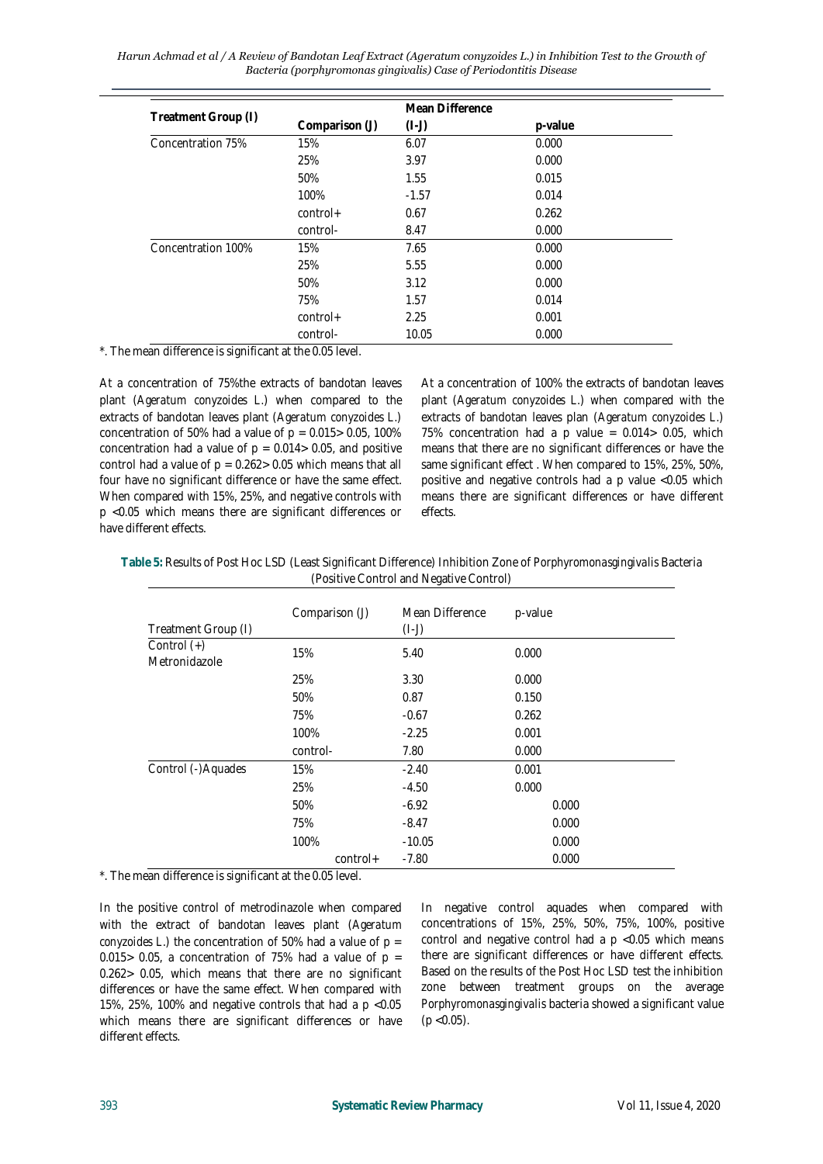*Harun Achmad et al / A Review of Bandotan Leaf Extract (Ageratum conyzoides L.) in Inhibition Test to the Growth of Bacteria (porphyromonas gingivalis) Case of Periodontitis Disease* 

|                     |                | Mean Difference |         |
|---------------------|----------------|-----------------|---------|
| Treatment Group (I) | Comparison (J) | $(I-J)$         | p-value |
| Concentration 75%   | 15%            | 6.07            | 0.000   |
|                     | 25%            | 3.97            | 0.000   |
|                     | 50%            | 1.55            | 0.015   |
|                     | 100%           | $-1.57$         | 0.014   |
|                     | $control+$     | 0.67            | 0.262   |
|                     | control-       | 8.47            | 0.000   |
| Concentration 100%  | 15%            | 7.65            | 0.000   |
|                     | 25%            | 5.55            | 0.000   |
|                     | 50%            | 3.12            | 0.000   |
|                     | 75%            | 1.57            | 0.014   |
|                     | $control+$     | 2.25            | 0.001   |
|                     | control-       | 10.05           | 0.000   |

\*. The mean difference is significant at the 0.05 level.

At a concentration of 75%the extracts of bandotan leaves plant (*Ageratum conyzoides L*.) when compared to the extracts of bandotan leaves plant (*Ageratum conyzoides L*.) concentration of 50% had a value of  $p = 0.015 > 0.05$ , 100% concentration had a value of  $p = 0.014 > 0.05$ , and positive control had a value of  $p = 0.262 > 0.05$  which means that all four have no significant difference or have the same effect. When compared with 15%, 25%, and negative controls with p <0.05 which means there are significant differences or have different effects.

At a concentration of 100% the extracts of bandotan leaves plant (*Ageratum conyzoides L.*) when compared with the extracts of bandotan leaves plan (*Ageratum conyzoides L*.) 75% concentration had a p value =  $0.014 > 0.05$ , which means that there are no significant differences or have the same significant effect . When compared to 15%, 25%, 50%, positive and negative controls had a p value <0.05 which means there are significant differences or have different effects.

| Table 5: Results of Post Hoc LSD (Least Significant Difference) Inhibition Zone of Porphyromonasgingivalis Bacteria |
|---------------------------------------------------------------------------------------------------------------------|
| (Positive Control and Negative Control)                                                                             |

|                                | Comparison (J) | Mean Difference | p-value |
|--------------------------------|----------------|-----------------|---------|
| Treatment Group (I)            |                | $(I-J)$         |         |
| Control $(+)$<br>Metronidazole | 15%            | 5.40            | 0.000   |
|                                | 25%            | 3.30            | 0.000   |
|                                | 50%            | 0.87            | 0.150   |
|                                | 75%            | $-0.67$         | 0.262   |
|                                | 100%           | $-2.25$         | 0.001   |
|                                | control-       | 7.80            | 0.000   |
| Control (-)Aquades             | 15%            | $-2.40$         | 0.001   |
|                                | 25%            | $-4.50$         | 0.000   |
|                                | 50%            | $-6.92$         | 0.000   |
|                                | 75%            | $-8.47$         | 0.000   |
|                                | 100%           | $-10.05$        | 0.000   |
|                                | $control+$     | $-7.80$         | 0.000   |

\*. The mean difference is significant at the 0.05 level.

In the positive control of metrodinazole when compared with the extract of bandotan leaves plant (*Ageratum conyzoides L*.) the concentration of 50% had a value of p = 0.015 > 0.05, a concentration of 75% had a value of  $p =$ 0.262> 0.05, which means that there are no significant differences or have the same effect. When compared with 15%, 25%, 100% and negative controls that had a p <0.05 which means there are significant differences or have different effects.

In negative control aquades when compared with concentrations of 15%, 25%, 50%, 75%, 100%, positive control and negative control had a  $p$  <0.05 which means there are significant differences or have different effects. Based on the results of the Post Hoc LSD test the inhibition zone between treatment groups on the average *Porphyromonasgingivalis* bacteria showed a significant value  $(p < 0.05)$ .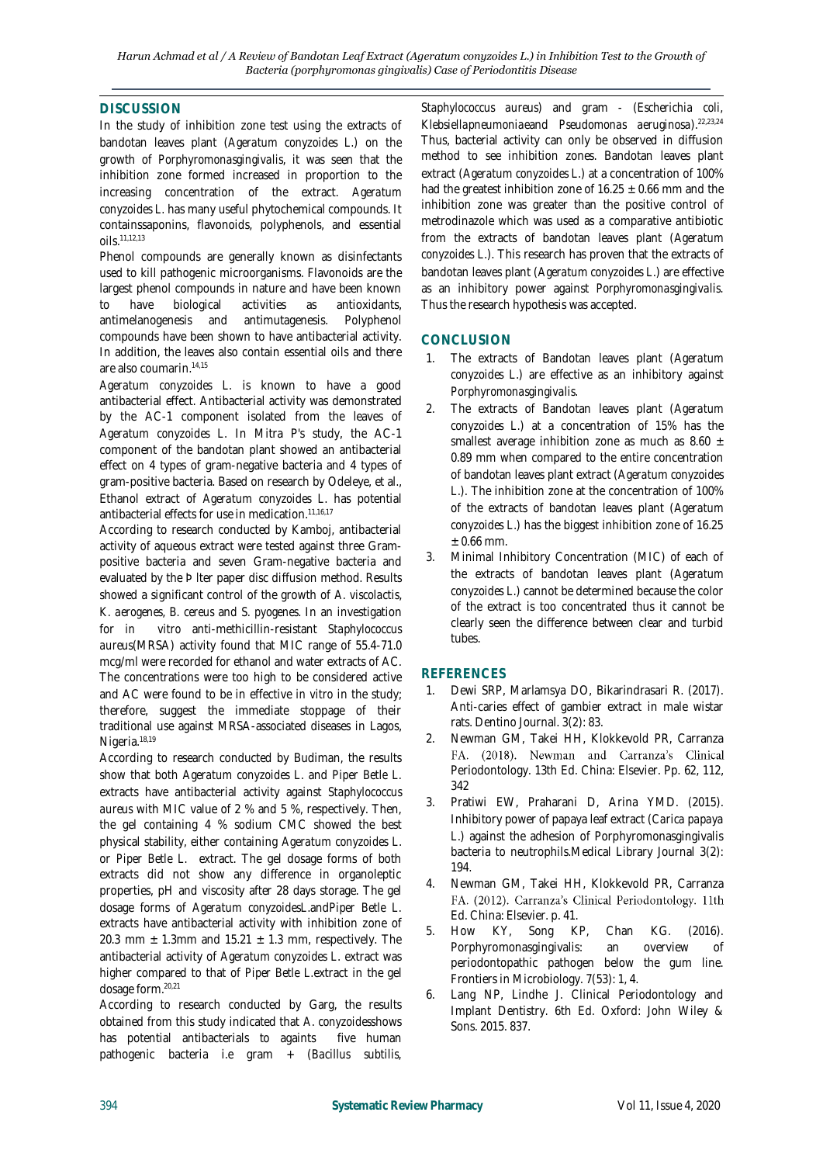# **DISCUSSION**

In the study of inhibition zone test using the extracts of bandotan leaves plant (*Ageratum conyzoides L*.) on the growth of *Porphyromonasgingivalis*, it was seen that the inhibition zone formed increased in proportion to the increasing concentration of the extract. *Ageratum conyzoides L.* has many useful phytochemical compounds. It containssaponins, flavonoids, polyphenols, and essential oils.11,12,13

Phenol compounds are generally known as disinfectants used to kill pathogenic microorganisms. Flavonoids are the largest phenol compounds in nature and have been known to have biological activities as antioxidants, antimelanogenesis and antimutagenesis. Polyphenol compounds have been shown to have antibacterial activity. In addition, the leaves also contain essential oils and there are also coumarin.14,15

*Ageratum conyzoides L.* is known to have a good antibacterial effect. Antibacterial activity was demonstrated by the AC-1 component isolated from the leaves of *Ageratum conyzoides L.* In Mitra P's study, the AC-1 component of the bandotan plant showed an antibacterial effect on 4 types of gram-negative bacteria and 4 types of gram-positive bacteria. Based on research by Odeleye, et al., Ethanol extract of *Ageratum conyzoides L*. has potential antibacterial effects for use in medication.<sup>11,16,17</sup>

According to research conducted by Kamboj, antibacterial activity of aqueous extract were tested against three Grampositive bacteria and seven Gram-negative bacteria and evaluated by the Þ lter paper disc diffusion method. Results showed a significant control of the growth of *A. viscolactis*, *K. aerogenes*, *B. cereus* and *S. pyogenes*. In an investigation for *in vitro* anti-methicillin-resistant *Staphylococcus aureus*(MRSA) activity found that MIC range of 55.4-71.0 mcg/ml were recorded for ethanol and water extracts of AC. The concentrations were too high to be considered active and AC were found to be in effective *in vitro* in the study; therefore, suggest the immediate stoppage of their traditional use against MRSA-associated diseases in Lagos, Nigeria.18,19

According to research conducted by Budiman, the results show that both *Ageratum conyzoides L*. and *Piper Betle L.* extracts have antibacterial activity against *Staphylococcus aureus* with MIC value of 2 % and 5 %, respectively. Then, the gel containing 4 % sodium CMC showed the best physical stability, either containing *Ageratum conyzoides L*. or *Piper Betle L.* extract. The gel dosage forms of both extracts did not show any difference in organoleptic properties, pH and viscosity after 28 days storage. The gel dosage forms of *Ageratum conyzoidesL*.and*Piper Betle L.* extracts have antibacterial activity with inhibition zone of 20.3 mm  $\pm$  1.3mm and 15.21  $\pm$  1.3 mm, respectively. The antibacterial activity of *Ageratum conyzoides L*. extract was higher compared to that of *Piper Betle L.*extract in the gel dosage form.20,21

According to research conducted by Garg, the results obtained from this study indicated that *A*. *conyzoides*shows has potential antibacterials to againts five human pathogenic bacteria i.e gram + (*Bacillus subtilis,* 

*Staphylococcus aureus*) and gram - (*Escherichia coli, Klebsiellapneumoniae*and *Pseudomonas aeruginosa*).22,23,24 Thus, bacterial activity can only be observed in diffusion method to see inhibition zones. Bandotan leaves plant extract (*Ageratum conyzoides L*.) at a concentration of 100% had the greatest inhibition zone of  $16.25 \pm 0.66$  mm and the inhibition zone was greater than the positive control of metrodinazole which was used as a comparative antibiotic from the extracts of bandotan leaves plant (*Ageratum conyzoides L*.). This research has proven that the extracts of bandotan leaves plant (*Ageratum conyzoides L*.) are effective as an inhibitory power against *Porphyromonasgingivalis.* Thus the research hypothesis was accepted.

# **CONCLUSION**

- 1. The extracts of Bandotan leaves plant (*Ageratum conyzoides L*.) are effective as an inhibitory against *Porphyromonasgingivalis.*
- 2. The extracts of Bandotan leaves plant (*Ageratum conyzoides L*.) at a concentration of 15% has the smallest average inhibition zone as much as 8.60  $\pm$ 0.89 mm when compared to the entire concentration of bandotan leaves plant extract (*Ageratum conyzoides L*.). The inhibition zone at the concentration of 100% of the extracts of bandotan leaves plant (*Ageratum conyzoides L*.) has the biggest inhibition zone of 16.25  $± 0.66$  mm.
- 3. Minimal Inhibitory Concentration (MIC) of each of the extracts of bandotan leaves plant (*Ageratum conyzoides L*.) cannot be determined because the color of the extract is too concentrated thus it cannot be clearly seen the difference between clear and turbid tubes.

# **REFERENCES**

- 1. Dewi SRP, Marlamsya DO, Bikarindrasari R. (2017). Anti-caries effect of gambier extract in male wistar rats. Dentino Journal. 3(2): 83.
- 2. Newman GM, Takei HH, Klokkevold PR, Carranza FA. (2018). Newman and Carranza's Clinical Periodontology. 13th Ed. China: Elsevier. Pp. 62, 112, 342
- 3. Pratiwi EW, Praharani D, Arina YMD. (2015). Inhibitory power of papaya leaf extract (*Carica papaya L*.) against the adhesion of Porphyromonasgingivalis bacteria to neutrophils.Medical Library Journal 3(2): 194.
- 4. Newman GM, Takei HH, Klokkevold PR, Carranza FA. (2012). Carranza's Clinical Periodontology. 11th Ed. China: Elsevier. p. 41.
- 5. How KY, Song KP, Chan KG. (2016). Porphyromonasgingivalis: an overview of periodontopathic pathogen below the gum line. Frontiers in Microbiology. 7(53): 1, 4.
- 6. Lang NP, Lindhe J. Clinical Periodontology and Implant Dentistry. 6th Ed. Oxford: John Wiley & Sons. 2015. 837.